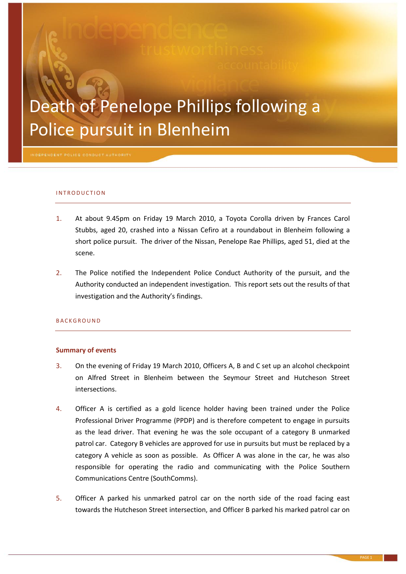# Death of Penelope Phillips following a Police pursuit in Blenheim

#### I N T R O D U C T I O N

- 1. At about 9.45pm on Friday 19 March 2010, a Toyota Corolla driven by Frances Carol Stubbs, aged 20, crashed into a Nissan Cefiro at a roundabout in Blenheim following a short police pursuit. The driver of the Nissan, Penelope Rae Phillips, aged 51, died at the scene.
- 2. The Police notified the Independent Police Conduct Authority of the pursuit, and the Authority conducted an independent investigation. This report sets out the results of that investigation and the Authority's findings.

#### **BACKGROUND**

#### **Summary of events**

- 3. On the evening of Friday 19 March 2010, Officers A, B and C set up an alcohol checkpoint on Alfred Street in Blenheim between the Seymour Street and Hutcheson Street intersections.
- <span id="page-0-0"></span>4. Officer A is certified as a gold licence holder having been trained under the Police Professional Driver Programme (PPDP) and is therefore competent to engage in pursuits as the lead driver. That evening he was the sole occupant of a category B unmarked patrol car. Category B vehicles are approved for use in pursuits but must be replaced by a category A vehicle as soon as possible. As Officer A was alone in the car, he was also responsible for operating the radio and communicating with the Police Southern Communications Centre (SouthComms).
- 5. Officer A parked his unmarked patrol car on the north side of the road facing east towards the Hutcheson Street intersection, and Officer B parked his marked patrol car on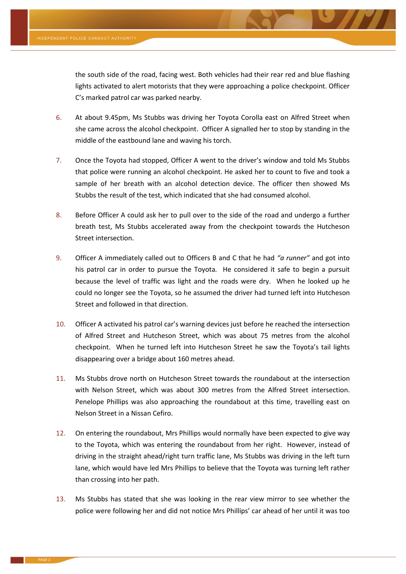the south side of the road, facing west. Both vehicles had their rear red and blue flashing lights activated to alert motorists that they were approaching a police checkpoint. Officer C's marked patrol car was parked nearby.

- 6. At about 9.45pm, Ms Stubbs was driving her Toyota Corolla east on Alfred Street when she came across the alcohol checkpoint. Officer A signalled her to stop by standing in the middle of the eastbound lane and waving his torch.
- 7. Once the Toyota had stopped, Officer A went to the driver's window and told Ms Stubbs that police were running an alcohol checkpoint. He asked her to count to five and took a sample of her breath with an alcohol detection device. The officer then showed Ms Stubbs the result of the test, which indicated that she had consumed alcohol.
- 8. Before Officer A could ask her to pull over to the side of the road and undergo a further breath test, Ms Stubbs accelerated away from the checkpoint towards the Hutcheson Street intersection.
- 9. Officer A immediately called out to Officers B and C that he had *"a runner"* and got into his patrol car in order to pursue the Toyota*.* He considered it safe to begin a pursuit because the level of traffic was light and the roads were dry. When he looked up he could no longer see the Toyota, so he assumed the driver had turned left into Hutcheson Street and followed in that direction.
- 10. Officer A activated his patrol car's warning devices just before he reached the intersection of Alfred Street and Hutcheson Street, which was about 75 metres from the alcohol checkpoint. When he turned left into Hutcheson Street he saw the Toyota's tail lights disappearing over a bridge about 160 metres ahead.
- 11. Ms Stubbs drove north on Hutcheson Street towards the roundabout at the intersection with Nelson Street, which was about 300 metres from the Alfred Street intersection. Penelope Phillips was also approaching the roundabout at this time, travelling east on Nelson Street in a Nissan Cefiro.
- 12. On entering the roundabout, Mrs Phillips would normally have been expected to give way to the Toyota, which was entering the roundabout from her right. However, instead of driving in the straight ahead/right turn traffic lane, Ms Stubbs was driving in the left turn lane, which would have led Mrs Phillips to believe that the Toyota was turning left rather than crossing into her path.
- 13. Ms Stubbs has stated that she was looking in the rear view mirror to see whether the police were following her and did not notice Mrs Phillips' car ahead of her until it was too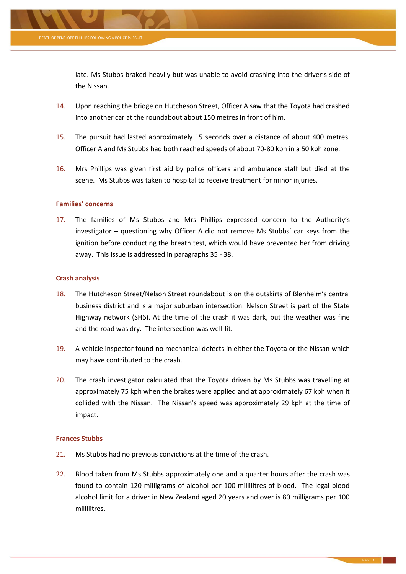

late. Ms Stubbs braked heavily but was unable to avoid crashing into the driver's side of the Nissan.

- 14. Upon reaching the bridge on Hutcheson Street, Officer A saw that the Toyota had crashed into another car at the roundabout about 150 metres in front of him.
- 15. The pursuit had lasted approximately 15 seconds over a distance of about 400 metres. Officer A and Ms Stubbs had both reached speeds of about 70-80 kph in a 50 kph zone.
- 16. Mrs Phillips was given first aid by police officers and ambulance staff but died at the scene. Ms Stubbs was taken to hospital to receive treatment for minor injuries.

# **Families' concerns**

17. The families of Ms Stubbs and Mrs Phillips expressed concern to the Authority's investigator – questioning why Officer A did not remove Ms Stubbs' car keys from the ignition before conducting the breath test, which would have prevented her from driving away. This issue is addressed in paragraphs [35](#page-5-0) - [38.](#page-5-1)

# **Crash analysis**

- 18. The Hutcheson Street/Nelson Street roundabout is on the outskirts of Blenheim's central business district and is a major suburban intersection. Nelson Street is part of the State Highway network (SH6). At the time of the crash it was dark, but the weather was fine and the road was dry. The intersection was well-lit.
- 19. A vehicle inspector found no mechanical defects in either the Toyota or the Nissan which may have contributed to the crash.
- 20. The crash investigator calculated that the Toyota driven by Ms Stubbs was travelling at approximately 75 kph when the brakes were applied and at approximately 67 kph when it collided with the Nissan. The Nissan's speed was approximately 29 kph at the time of impact.

# **Frances Stubbs**

- 21. Ms Stubbs had no previous convictions at the time of the crash.
- 22. Blood taken from Ms Stubbs approximately one and a quarter hours after the crash was found to contain 120 milligrams of alcohol per 100 millilitres of blood. The legal blood alcohol limit for a driver in New Zealand aged 20 years and over is 80 milligrams per 100 millilitres.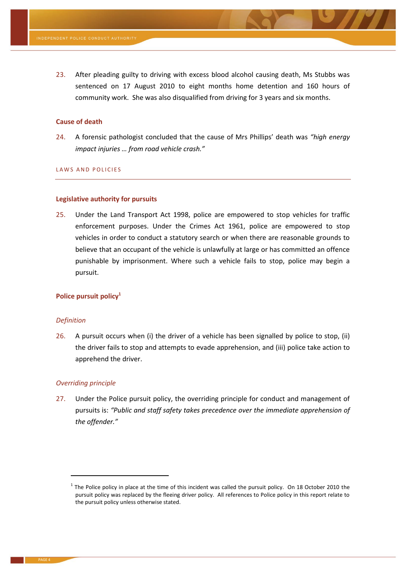23. After pleading guilty to driving with excess blood alcohol causing death, Ms Stubbs was sentenced on 17 August 2010 to eight months home detention and 160 hours of community work. She was also disqualified from driving for 3 years and six months.

#### **Cause of death**

24. A forensic pathologist concluded that the cause of Mrs Phillips' death was *"high energy impact injuries … from road vehicle crash."*

# LAWS AND POLICIES

# **Legislative authority for pursuits**

25. Under the Land Transport Act 1998, police are empowered to stop vehicles for traffic enforcement purposes. Under the Crimes Act 1961, police are empowered to stop vehicles in order to conduct a statutory search or when there are reasonable grounds to believe that an occupant of the vehicle is unlawfully at large or has committed an offence punishable by imprisonment. Where such a vehicle fails to stop, police may begin a pursuit.

# **Police pursuit policy<sup>1</sup>**

#### *Definition*

1

26. A pursuit occurs when (i) the driver of a vehicle has been signalled by police to stop, (ii) the driver fails to stop and attempts to evade apprehension, and (iii) police take action to apprehend the driver.

#### *Overriding principle*

27. Under the Police pursuit policy, the overriding principle for conduct and management of pursuits is: *"Public and staff safety takes precedence over the immediate apprehension of the offender."*

 $1$  The Police policy in place at the time of this incident was called the pursuit policy. On 18 October 2010 the pursuit policy was replaced by the fleeing driver policy. All references to Police policy in this report relate to the pursuit policy unless otherwise stated.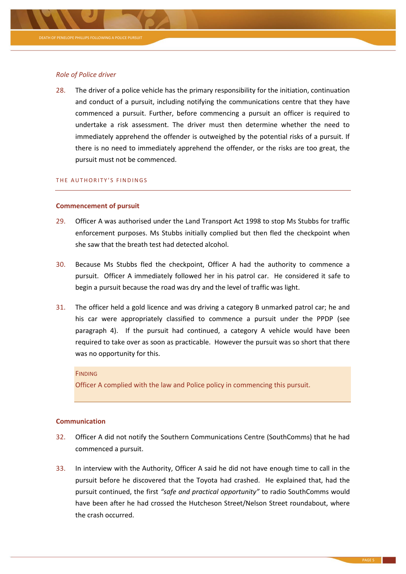# *Role of Police driver*

28. The driver of a police vehicle has the primary responsibility for the initiation, continuation and conduct of a pursuit, including notifying the communications centre that they have commenced a pursuit. Further, before commencing a pursuit an officer is required to undertake a risk assessment. The driver must then determine whether the need to immediately apprehend the offender is outweighed by the potential risks of a pursuit. If there is no need to immediately apprehend the offender, or the risks are too great, the pursuit must not be commenced.

#### THE AUTHORITY'S FINDINGS

## **Commencement of pursuit**

- 29. Officer A was authorised under the Land Transport Act 1998 to stop Ms Stubbs for traffic enforcement purposes. Ms Stubbs initially complied but then fled the checkpoint when she saw that the breath test had detected alcohol.
- 30. Because Ms Stubbs fled the checkpoint, Officer A had the authority to commence a pursuit. Officer A immediately followed her in his patrol car. He considered it safe to begin a pursuit because the road was dry and the level of traffic was light.
- 31. The officer held a gold licence and was driving a category B unmarked patrol car; he and his car were appropriately classified to commence a pursuit under the PPDP (see paragraph [4\)](#page-0-0). If the pursuit had continued, a category A vehicle would have been required to take over as soon as practicable. However the pursuit was so short that there was no opportunity for this.

#### **FINDING**

Officer A complied with the law and Police policy in commencing this pursuit.

# **Communication**

- 32. Officer A did not notify the Southern Communications Centre (SouthComms) that he had commenced a pursuit.
- 33. In interview with the Authority, Officer A said he did not have enough time to call in the pursuit before he discovered that the Toyota had crashed. He explained that, had the pursuit continued, the first *"safe and practical opportunity"* to radio SouthComms would have been after he had crossed the Hutcheson Street/Nelson Street roundabout, where the crash occurred.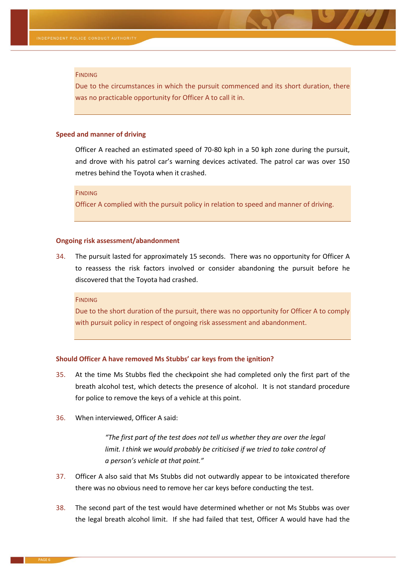#### FINDING

Due to the circumstances in which the pursuit commenced and its short duration, there was no practicable opportunity for Officer A to call it in.

### **Speed and manner of driving**

Officer A reached an estimated speed of 70-80 kph in a 50 kph zone during the pursuit, and drove with his patrol car's warning devices activated. The patrol car was over 150 metres behind the Toyota when it crashed.

**FINDING** 

Officer A complied with the pursuit policy in relation to speed and manner of driving.

#### **Ongoing risk assessment/abandonment**

34. The pursuit lasted for approximately 15 seconds. There was no opportunity for Officer A to reassess the risk factors involved or consider abandoning the pursuit before he discovered that the Toyota had crashed.

**FINDING** 

Due to the short duration of the pursuit, there was no opportunity for Officer A to comply with pursuit policy in respect of ongoing risk assessment and abandonment.

#### **Should Officer A have removed Ms Stubbs' car keys from the ignition?**

- <span id="page-5-0"></span>35. At the time Ms Stubbs fled the checkpoint she had completed only the first part of the breath alcohol test, which detects the presence of alcohol. It is not standard procedure for police to remove the keys of a vehicle at this point.
- 36. When interviewed, Officer A said:

*"The first part of the test does not tell us whether they are over the legal limit. I think we would probably be criticised if we tried to take control of a person's vehicle at that point."*

- 37. Officer A also said that Ms Stubbs did not outwardly appear to be intoxicated therefore there was no obvious need to remove her car keys before conducting the test.
- <span id="page-5-1"></span>38. The second part of the test would have determined whether or not Ms Stubbs was over the legal breath alcohol limit. If she had failed that test, Officer A would have had the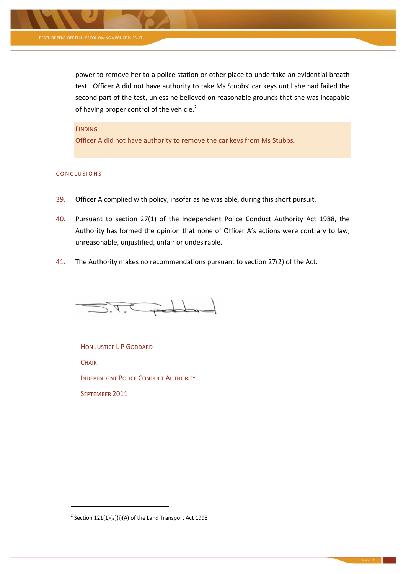

power to remove her to a police station or other place to undertake an evidential breath test. Officer A did not have authority to take Ms Stubbs' car keys until she had failed the second part of the test, unless he believed on reasonable grounds that she was incapable of having proper control of the vehicle.<sup>2</sup>

# **FINDING**

Officer A did not have authority to remove the car keys from Ms Stubbs.

# CONCLUSIONS

- 39. Officer A complied with policy, insofar as he was able, during this short pursuit.
- 40. Pursuant to section 27(1) of the Independent Police Conduct Authority Act 1988, the Authority has formed the opinion that none of Officer A's actions were contrary to law, unreasonable, unjustified, unfair or undesirable.
- 41. The Authority makes no recommendations pursuant to section 27(2) of the Act.

 $57.7$  and do  $-$ 

HON JUSTICE L P GODDARD **CHAIR** INDEPENDENT POLICE CONDUCT AUTHORITY SEPTEMBER 2011

**.** 

<sup>&</sup>lt;sup>2</sup> Section 121(1)(a)(i)(A) of the Land Transport Act 1998